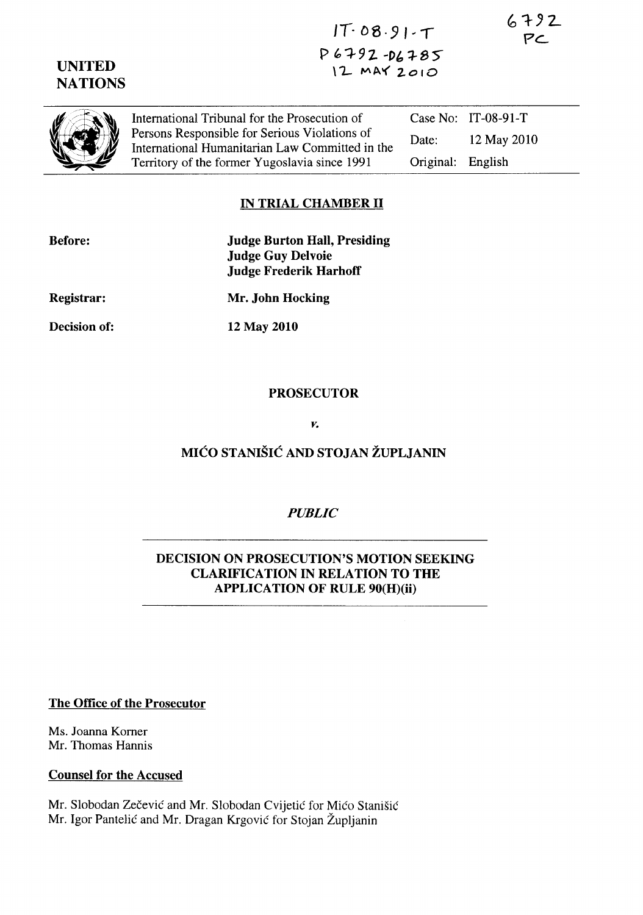$6792$  $PC$ 

# UNITED **NATIONS**

 $IT.08.91.7$  $P6792 -D6785$  $12$  MAY  $2010$ 

|--|

International Tribunal for the Prosecution of Persons Responsible for Serious Violations of International Humanitarian Law Committed in the Territory of the former Yugoslavia since 1991 Case No: IT-08-91-T Date: 12 May 2010 Original: English

# IN TRIAL CHAMBER II

| <b>Before:</b> | <b>Judge Burton Hall, Presiding</b><br><b>Judge Guy Delvoie</b><br><b>Judge Frederik Harhoff</b> |
|----------------|--------------------------------------------------------------------------------------------------|
| Registrar:     | Mr. John Hocking                                                                                 |
| Decision of:   | 12 May 2010                                                                                      |
|                |                                                                                                  |

### PROSECUTOR

*v.* 

# MICO STANISIC AND STOJAN ZUPLJANIN

## *PUBLIC*

### DECISION ON PROSECUTION'S MOTION SEEKING CLARIFICATION IN RELATION TO THE APPLICA TION OF RULE 90(H)(ii)

#### The Office of the Prosecutor

Ms. Joanna Komer Mr. Thomas Hannis

#### Counsel for the Accused

Mr. Slobodan Zečević and Mr. Slobodan Cvijetić for Mićo Stanišić Mr. Igor Pantelić and Mr. Dragan Krgović for Stojan Župljanin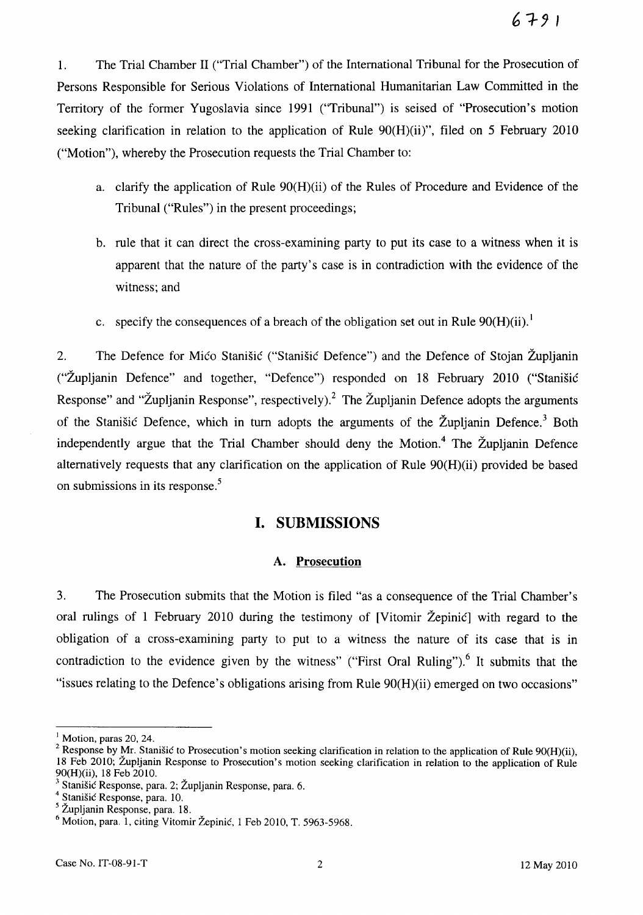1. The Trial Chamber II ("Trial Chamber") of the International Tribunal for the Prosecution of Persons Responsible for Serious Violations of International Humanitarian Law Committed in the Territory of the former Yugoslavia since 1991 ("Tribunal") is seised of "Prosecution's motion seeking clarification in relation to the application of Rule 90(H)(ii)", filed on 5 February 2010 ("Motion"), whereby the Prosecution requests the Trial Chamber to:

- a. clarify the application of Rule 90(H)(ii) of the Rules of Procedure and Evidence of the Tribunal ("Rules") in the present proceedings;
- b. rule that it can direct the cross-examining party to put its case to a witness when it is apparent that the nature of the party's case is in contradiction with the evidence of the witness; and
- c. specify the consequences of a breach of the obligation set out in Rule  $90(H)(ii)$ .<sup>1</sup>

2. The Defence for Mico Stanišic ("Stanišic Defence") and the Defence of Stojan Župljanin ("Zupljanin Defence" and together, "Defence") responded on 18 February 2010 ("Stanisic Response" and "Župljanin Response", respectively).<sup>2</sup> The Župljanin Defence adopts the arguments of the Stanisic Defence, which in turn adopts the arguments of the Župljanin Defence.<sup>3</sup> Both independently argue that the Trial Chamber should deny the Motion.<sup>4</sup> The Župljanin Defence alternatively requests that any clarification on the application of Rule 90(H)(ii) provided be based on submissions in its response.<sup>5</sup>

### **I. SUBMISSIONS**

#### A. **Prosecution**

3. The Prosecution submits that the Motion is filed "as a consequence of the Trial Chamber's oral rulings of 1 February 2010 during the testimony of [Vitomir Zepinic] with regard to the obligation of a cross-examining party to put to a witness the nature of its case that is in contradiction to the evidence given by the witness" ("First Oral Ruling").<sup>6</sup> It submits that the "issues relating to the Defence's obligations arising from Rule 90(H)(ii) emerged on two occasions"

 $<sup>1</sup>$  Motion, paras 20, 24.</sup>

<sup>&</sup>lt;sup>2</sup> Response by Mr. Stanišic to Prosecution's motion seeking clarification in relation to the application of Rule 90(H)(ii), 18 Feb 2010; Zupljanin Response to Prosecution's motion seeking clarification in relation to the application of Rule 90(H)(ii), 18 Feb 2010.

<sup>&</sup>lt;sup>3</sup> Stanišić Response, para. 2; Župljanin Response, para. 6.

<sup>4</sup> Stanisic Response, para. 10.

S Zupljanin Response, para. 18.

<sup>6</sup> Motion, para. 1, citing Vitomir Zepinic, 1 Feb 2010, T. 5963-5968.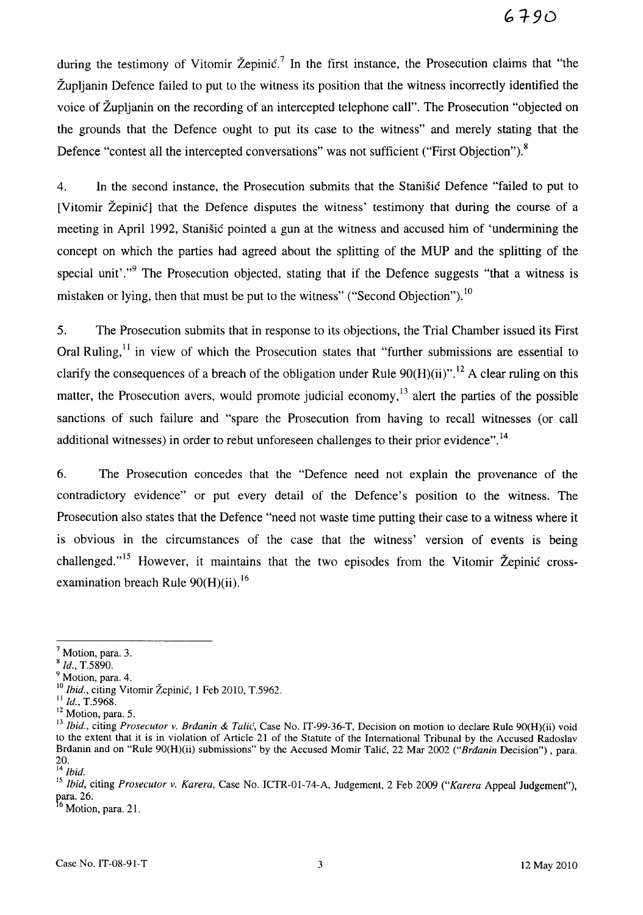during the testimony of Vitomir Žepinić.<sup>7</sup> In the first instance, the Prosecution claims that "the Zupljanin Defence failed to put to the witness its position that the witness incorrectly identified the voice of Zupljanin on the recording of an intercepted telephone call". The Prosecution "objected on the grounds that the Defence ought to put its case to the witness" and merely stating that the Defence "contest all the intercepted conversations" was not sufficient ("First Objection").<sup>8</sup>

4. In the second instance, the Prosecution submits that the Stanisic Defence "failed to put to [Vitomir Žepinić] that the Defence disputes the witness' testimony that during the course of a meeting in April 1992, Stanisic pointed a gun at the witness and accused him of 'undermining the concept on which the parties had agreed about the splitting of the MUP and the splitting of the special unit'."<sup>9</sup> The Prosecution objected, stating that if the Defence suggests "that a witness is mistaken or lying, then that must be put to the witness" ("Second Objection").  $10$ 

5. The Prosecution submits that in response to its objections, the Trial Chamber issued its First Oral Ruling, $<sup>11</sup>$  in view of which the Prosecution states that "further submissions are essential to</sup> clarify the consequences of a breach of the obligation under Rule  $90(H)(ii)$ ".<sup>12</sup> A clear ruling on this matter, the Prosecution avers, would promote judicial economy,<sup>13</sup> alert the parties of the possible sanctions of such failure and "spare the Prosecution from having to recall witnesses (or call additional witnesses) in order to rebut unforeseen challenges to their prior evidence".<sup>14</sup>

6. The Prosecution concedes that the "Defence need not explain the provenance of the contradictory evidence" or put every detail of the Defence's position to the witness. The Prosecution also states that the Defence "need not waste time putting their case to a witness where it is obvious in the circumstances of the case that the witness' version of events is being challenged."<sup>15</sup> However, it maintains that the two episodes from the Vitomir Žepinić crossexamination breach Rule  $90(H)(ii)$ .<sup>16</sup>

<sup>9</sup> Motion, para. 4.

 $<sup>7</sup>$  Motion, para. 3.</sup>

<sup>8</sup>*Id.,* T.5890.

<sup>&</sup>lt;sup>10</sup> Ibid., citing Vitomir Žepinić, 1 Feb 2010, T.5962.

<sup>11</sup>*Id.,* T.5968.

<sup>&</sup>lt;sup>12</sup> Motion, para. 5.

<sup>&</sup>lt;sup>13</sup> Ibid., citing *Prosecutor v. Brdanin & Talić*, Case No. IT-99-36-T, Decision on motion to declare Rule 90(H)(ii) void to the extent that it is in violation of Article 21 of the Statute of the International Tribunal by the Accused Radoslav Brdanin and on "Rule 90(H)(ii) submissions" by the Accused Momir Talic, 22 Mar 2002 *("Brdanin* Decision") , para. 20.

<sup>14</sup>*Ibid.* 

<sup>15</sup>*Ibid,* citing *Prosecutor v. Karera,* Case No. ICTR-01-74-A, Judgement, 2 Feb 2009 *("Karera* Appeal Judgement"), para. 26.  $^{16}$  Motion, para. 21.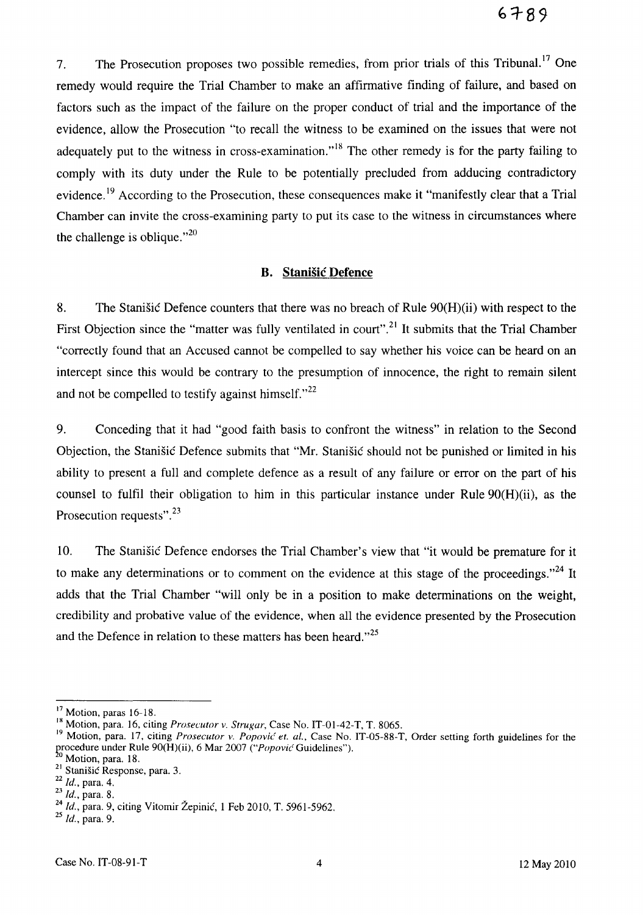7. The Prosecution proposes two possible remedies, from prior trials of this Tribunal.<sup>17</sup> One remedy would require the Trial Chamber to make an affirmative finding of failure, and based on factors such as the impact of the failure on the proper conduct of trial and the importance of the evidence, allow the Prosecution "to recall the witness to be examined on the issues that were not adequately put to the witness in cross-examination.<sup> $,18$ </sup> The other remedy is for the party failing to comply with its duty under the Rule to be potentially precluded from adducing contradictory evidence.<sup>19</sup> According to the Prosecution, these consequences make it "manifestly clear that a Trial Chamber can invite the cross-examining party to put its case to the witness in circumstances where the challenge is oblique." $^{20}$ 

#### **B. Stanisic Defence**

8. The Stanisic Defence counters that there was no breach of Rule 90(H)(ii) with respect to the First Objection since the "matter was fully ventilated in court".<sup>21</sup> It submits that the Trial Chamber "correctly found that an Accused cannot be compelled to say whether his voice can be heard on an intercept since this would be contrary to the presumption of innocence, the right to remain silent and not be compelled to testify against himself. $^{22}$ 

9. Conceding that it had "good faith basis to confront the witness" in relation to the Second Objection, the Stanisic Defence submits that "Mr. StaniSic should not be punished or limited in his ability to present a full and complete defence as a result of any failure or error on the part of his counsel to fulfil their obligation to him in this particular instance under Rule 90(H)(ii), as the Prosecution requests".<sup>23</sup>

10. The Stanisic Defence endorses the Trial Chamber's view that "it would be premature for it to make any determinations or to comment on the evidence at this stage of the proceedings.<sup> $24$ </sup> It adds that the Trial Chamber "will only be in a position to make determinations on the weight, credibility and probative value of the evidence, when all the evidence presented by the Prosecution and the Defence in relation to these matters has been heard."<sup>25</sup>

<sup>&</sup>lt;sup>17</sup> Motion, paras 16-18.

<sup>&</sup>lt;sup>18</sup> Motion, para. 16, citing *Prosecutor v. Strugar*, Case No. IT-01-42-T, T. 8065.

<sup>&</sup>lt;sup>19</sup> Motion, para. 17, citing *Prosecutor v. Popović et. al.*, Case No. IT-05-88-T, Order setting forth guidelines for the procedure under Rule 90(H)(ii), 6 Mar 2007 *("Popović Guidelines"*).

Motion, para. 18.

<sup>&</sup>lt;sup>21</sup> Stanišić Response, para. 3.

*<sup>22</sup> Id.,* para. 4.

<sup>23</sup>*Id.,* para. 8.

*<sup>24</sup> Id.,* para. 9, citing Vitomir Zepinic, 1 Feb 2010, T. 5961-5962. 25 *Id.,* para. 9.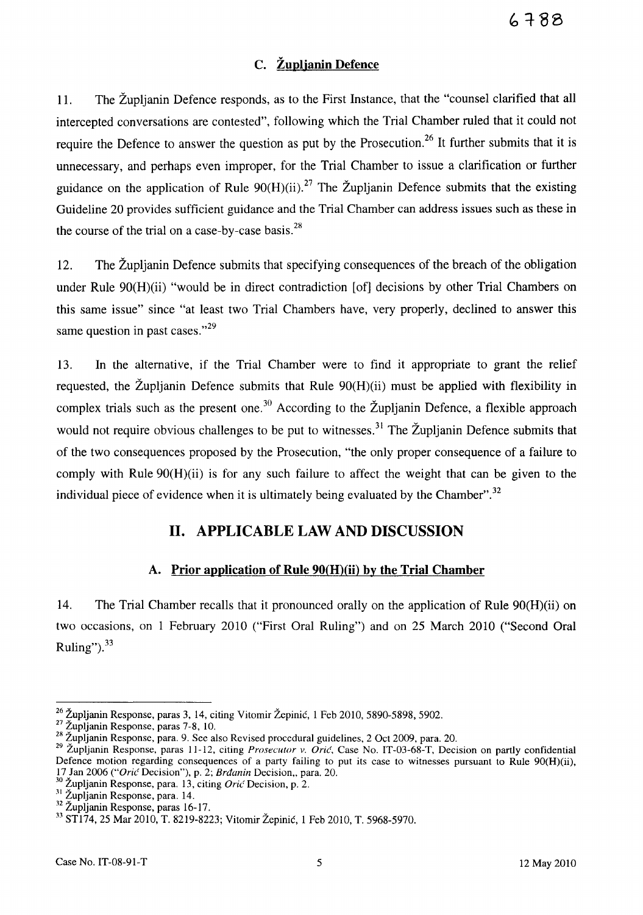# C. Zuplianin Defence

11. The Zupljanin Defence responds, as to the First Instance, that the "counsel clarified that all intercepted conversations are contested", following which the Trial Chamber ruled that it could not require the Defence to answer the question as put by the Prosecution.<sup>26</sup> It further submits that it is unnecessary, and perhaps even improper, for the Trial Chamber to issue a clarification or further guidance on the application of Rule  $90(H)(ii)$ .<sup>27</sup> The Župljanin Defence submits that the existing Guideline 20 provides sufficient guidance and the Trial Chamber can address issues such as these in the course of the trial on a case-by-case basis. $^{28}$ 

12. The Zupljanin Defence submits that specifying consequences of the breach of the obligation under Rule 90(H)(ii) "would be in direct contradiction [of] decisions by other Trial Chambers on this same issue" since "at least two Trial Chambers have, very properly, declined to answer this same question in past cases." $^{29}$ 

13. In the alternative, if the Trial Chamber were to find it appropriate to grant the relief requested, the Župljanin Defence submits that Rule  $90(H)(ii)$  must be applied with flexibility in complex trials such as the present one.<sup>30</sup> According to the Župljanin Defence, a flexible approach would not require obvious challenges to be put to witnesses.<sup>31</sup> The  $\check{Z}$ upljanin Defence submits that of the two consequences proposed by the Prosecution, "the only proper consequence of a failure to comply with Rule 90(H)(ii) is for any such failure to affect the weight that can be given to the individual piece of evidence when it is ultimately being evaluated by the Chamber".<sup>32</sup>

# 11. APPLICABLE LAW AND DISCUSSION

## A. Prior application of Rule 90(H)(ii) by the Trial Chamber

14. The Trial Chamber recalls that it pronounced orally on the application of Rule 90(H)(ii) on two occasions, on 1 February 2010 ("First Oral Ruling") and on 25 March 2010 ("Second Oral Ruling"). $33$ 

 $^{26}$  Zupljanin Response, paras 3, 14, citing Vitomir Zepinic, 1 Feb 2010, 5890-5898, 5902.

 $2^{27}$  Zupljanin Response, paras 7-8, 10.

<sup>28</sup> Zupljanin Response, para. 9. See also Revised procedural guidelines, 2 Oct 2009, para. 20.

<sup>29</sup> Zupljanin Response, paras 11-12, citing *Prosecutor v. Oric,* Case No. IT-03-68-T, Decision on partly confidential Defence motion regarding consequences of a party failing to put its case to witnesses pursuant to Rule 90(H)(ii), 17 Jan 2006 ("Oric Decision"), p. 2; *Brdanin Decision*,, para. 20.

<sup>30</sup> Zupljanin Response, para. 13, citing *Orit'* Decision, p. 2.

 $31 \times 10^{-10}$  Response, para. 14.

<sup>32</sup> Zupljanin Response, paras 16-17.

<sup>33</sup> STl74, 25 Mar 2010, T. 8219-8223; Vitomir Zepinic, 1 Feb 2010, T. 5968-5970.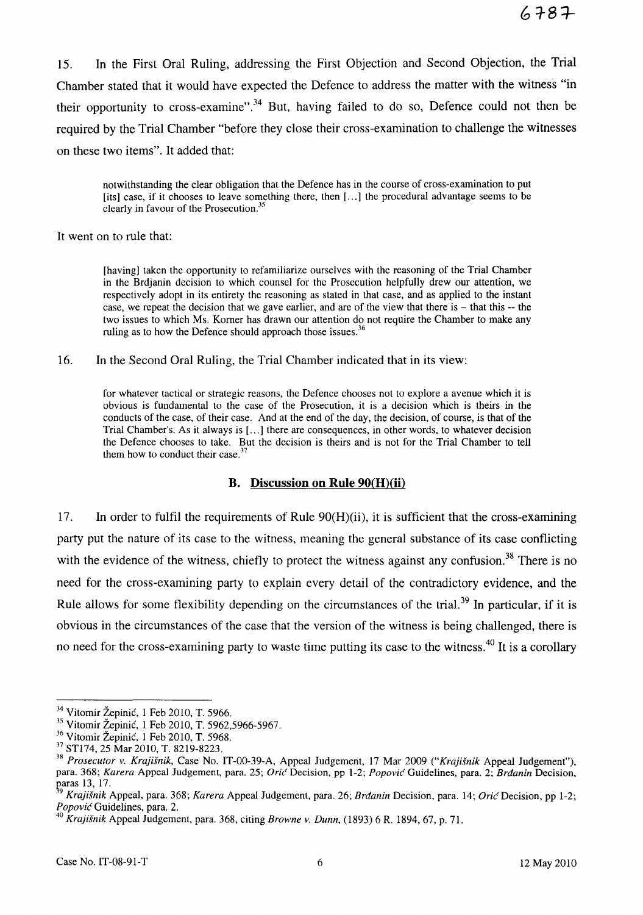15. In the First Oral Ruling, addressing the First Objection and Second Objection, the Trial Chamber stated that it would have expected the Defence to address the matter with the witness "in their opportunity to cross-examine".<sup>34</sup> But, having failed to do so, Defence could not then be required by the Trial Chamber "before they close their cross-examination to challenge the witnesses on these two items". It added that:

notwithstanding the clear obligation that the Defence has in the course of cross-examination to put [its] case, if it chooses to leave something there, then [ ... ] the procedural advantage seems to be clearly in favour of the Prosecution."

It went on to rule that:

[having] taken the opportunity to refamiliarize ourselves with the reasoning of the Trial Chamber in the Brdjanin decision to which counsel for the Prosecution helpfully drew our attention, we respectively adopt in its entirety the reasoning as stated in that case, and as applied to the instant case, we repeat the decision that we gave earlier, and are of the view that there is – that this -- the two issues to which Ms. Komer has drawn our attention do not require the Chamber to make any ruling as to how the Defence should approach those issues.<sup>3</sup>

16. In the Second Oral Ruling, the Trial Chamber indicated that in its view:

for whatever tactical or strategic reasons, the Defence chooses not to explore a avenue which it is obvious is fundamental to the case of the Prosecution, it is a decision which is theirs in the conducts of the case, of their case. And at the end of the day, the decision, of course, is that of the Trial Chamber's. As it always is [...] there are consequences, in other words, to whatever decision the Defence chooses to take. But the decision is theirs and is not for the Trial Chamber to tell them how to conduct their case. $3^7$ 

#### B. Discussion **on Rule** 90(H)(ii)

17. In order to fulfil the requirements of Rule 90(H)(ii), it is sufficient that the cross-examining party put the nature of its case to the witness, meaning the general substance of its case conflicting with the evidence of the witness, chiefly to protect the witness against any confusion.<sup>38</sup> There is no need for the cross-examining party to explain every detail of the contradictory evidence, and the Rule allows for some flexibility depending on the circumstances of the trial.<sup>39</sup> In particular, if it is obvious in the circumstances of the case that the version of the witness is being challenged, there is no need for the cross-examining party to waste time putting its case to the witness.<sup>40</sup> It is a corollary

<sup>&</sup>lt;sup>34</sup> Vitomir Žepinić, 1 Feb 2010, T. 5966.

<sup>35</sup> Vitomir Zepinic, 1 Feb 2010, T. 5962,5966-5967.

<sup>]6</sup> Vitomir Zepinic, 1 Feb 2010, T. 5968.

<sup>37</sup>STl74, 25 Mar 2010, T. 8219-8223.

<sup>&</sup>lt;sup>38</sup> Prosecutor v. Krajišnik, Case No. IT-00-39-A, Appeal Judgement, 17 Mar 2009 ("Krajišnik Appeal Judgement"), para. 368; Karera Appeal Judgement, para. 25; Oric Decision, pp 1-2; Popovic Guidelines, para. 2; Brdanin Decision, paras 13, 17.

Krajišnik Appeal, para. 368; Karera Appeal Judgement, para. 26; Brđanin Decision, para. 14; Orić Decision, pp 1-2; Popović Guidelines, para. 2.

<sup>&</sup>lt;sup>40</sup> Krajišnik Appeal Judgement, para. 368, citing Browne v. Dunn, (1893) 6 R. 1894, 67, p. 71.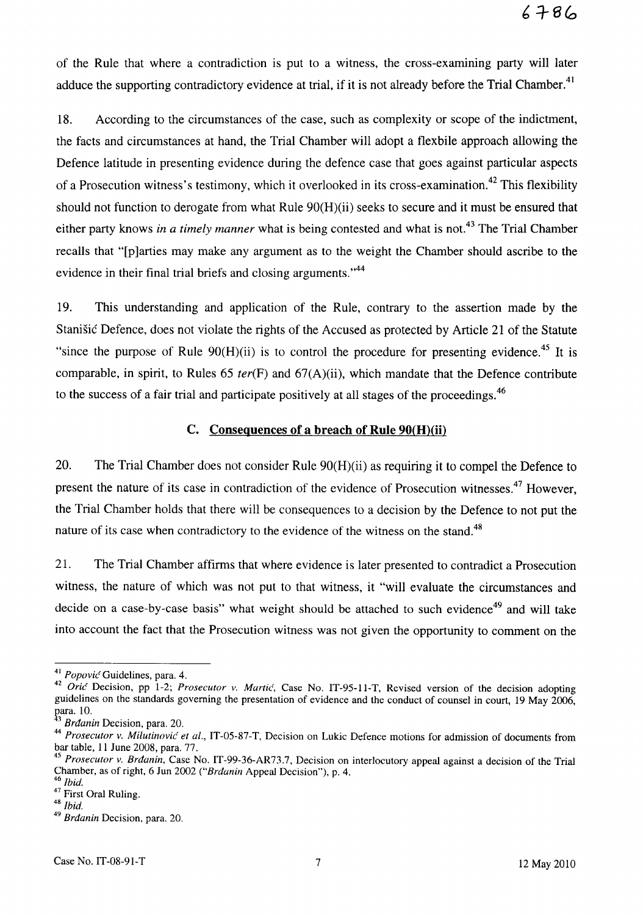of the Rule that where a contradiction is put to a witness, the cross-examining party will later adduce the supporting contradictory evidence at trial, if it is not already before the Trial Chamber.<sup>41</sup>

18. According to the circumstances of the case, such as complexity or scope of the indictment, the facts and circumstances at hand, the Trial Chamber will adopt a flex bile approach allowing the Defence latitude in presenting evidence during the defence case that goes against particular aspects of a Prosecution witness's testimony, which it overlooked in its cross-examination.<sup>42</sup> This flexibility should not function to derogate from what Rule 90(H)(ii) seeks to secure and it must be ensured that either party knows *in a timely manner* what is being contested and what is not.<sup>43</sup> The Trial Chamber recalls that "[p]arties may make any argument as to the weight the Chamber should ascribe to the evidence in their final trial briefs and closing arguments."<sup>44</sup>

19. This understanding and application of the Rule, contrary to the assertion made by the Stanišić Defence, does not violate the rights of the Accused as protected by Article 21 of the Statute "since the purpose of Rule  $90(H)(ii)$  is to control the procedure for presenting evidence.<sup>45</sup> It is comparable, in spirit, to Rules 65 *ter(F)* and 67(A)(ii), which mandate that the Defence contribute to the success of a fair trial and participate positively at all stages of the proceedings.<sup>46</sup>

#### C. Consequences of a breach of Rule  $90(H)(ii)$

20. The Trial Chamber does not consider Rule 90(H)(ii) as requiring it to compel the Defence to present the nature of its case in contradiction of the evidence of Prosecution witnesses.<sup>47</sup> However, the Trial Chamber holds that there will be consequences to a decision by the Defence to not put the nature of its case when contradictory to the evidence of the witness on the stand.<sup>48</sup>

21. The Trial Chamber affirms that where evidence is later presented to contradict a Prosecution witness, the nature of which was not put to that witness, it "will evaluate the circumstances and decide on a case-by-case basis" what weight should be attached to such evidence<sup>49</sup> and will take into account the fact that the Prosecution witness was not given the opportunity to comment on the

<sup>41</sup>*Popovic* Guidelines, para. 4.

<sup>42</sup>*Oric* Decision, pp 1-2; *Prosecutor v. Martic,* Case No. IT-95-11-T, Revised version of the decision adopting guidelines on the standards governing the presentation of evidence and the conduct of counsel in court, 19 May 2006, para. 10.

Brdanin Decision, para. 20.

*<sup>44</sup> Prosecutor v. Milutinovic' et al.,* IT-05-S7-T, Decision on Lukic Defence motions for admission of documents from bar table, 11 June 200S, para. 77.

<sup>45</sup>*Prosecutor v. Brdanin,* Case No. IT-99-36-AR73.7, Decision on interlocutory appeal against a decision of the Trial Chamber, as of right, 6 Jun 2002 *("Brdanin* Appeal Decision"), p. 4. *46 Ibid.* 

<sup>47</sup> First Oral Ruling.

<sup>48</sup>*Ibid.* 

*<sup>49</sup> Brdanin* Decision, para. 20.